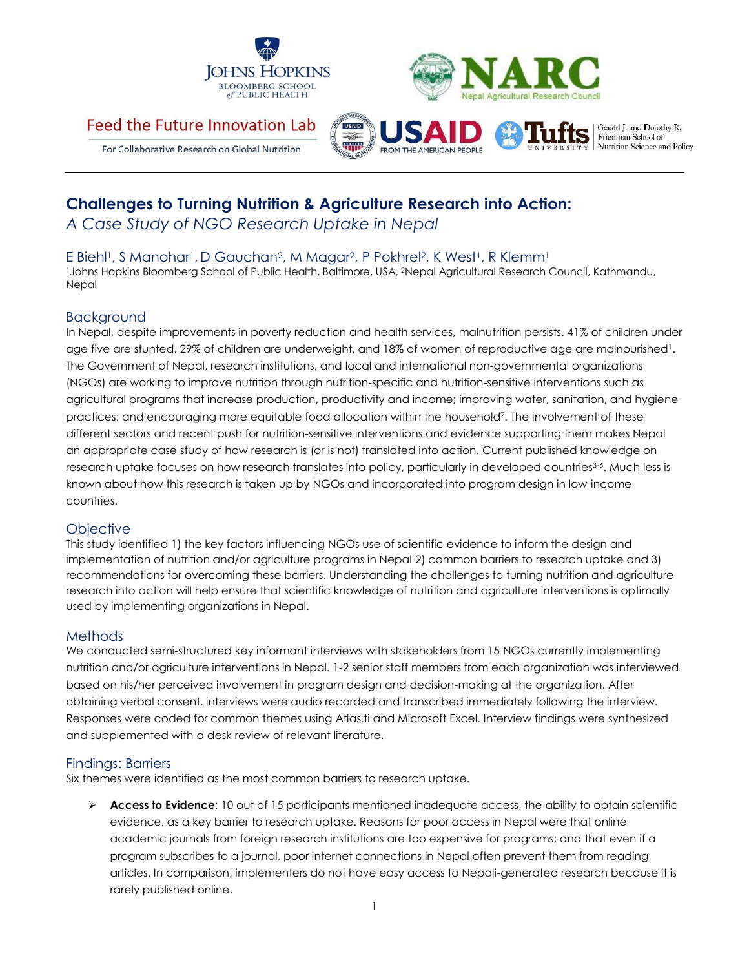



# Feed the Future Innovation Lab



Gerald L and Dorothy R. Friedman School of Nutrition Science and Policy

For Collaborative Research on Global Nutrition

# **Challenges to Turning Nutrition & Agriculture Research into Action:**

*A Case Study of NGO Research Uptake in Nepal*

E Biehl<sup>1</sup>, S Manohar<sup>1</sup>, D Gauchan<sup>2</sup>, M Magar<sup>2</sup>, P Pokhrel<sup>2</sup>, K West<sup>1</sup>, R Klemm<sup>1</sup>

<sup>1</sup>Johns Hopkins Bloomberg School of Public Health, Baltimore, USA, <sup>2</sup>Nepal Agricultural Research Council, Kathmandu, Nepal

## Background

In Nepal, despite improvements in poverty reduction and health services, malnutrition persists. 41% of children under age five are stunted, 29% of children are underweight, and 18% of women of reproductive age are malnourished<sup>1</sup>. The Government of Nepal, research institutions, and local and international non-governmental organizations (NGOs) are working to improve nutrition through nutrition-specific and nutrition-sensitive interventions such as agricultural programs that increase production, productivity and income; improving water, sanitation, and hygiene practices; and encouraging more equitable food allocation within the household<sup>2</sup>. The involvement of these different sectors and recent push for nutrition-sensitive interventions and evidence supporting them makes Nepal an appropriate case study of how research is (or is not) translated into action. Current published knowledge on research uptake focuses on how research translates into policy, particularly in developed countries<sup>3-6</sup>. Much less is known about how this research is taken up by NGOs and incorporated into program design in low-income countries.

## **Objective**

This study identified 1) the key factors influencing NGOs use of scientific evidence to inform the design and implementation of nutrition and/or agriculture programs in Nepal 2) common barriers to research uptake and 3) recommendations for overcoming these barriers. Understanding the challenges to turning nutrition and agriculture research into action will help ensure that scientific knowledge of nutrition and agriculture interventions is optimally used by implementing organizations in Nepal.

## Methods

We conducted semi-structured key informant interviews with stakeholders from 15 NGOs currently implementing nutrition and/or agriculture interventions in Nepal. 1-2 senior staff members from each organization was interviewed based on his/her perceived involvement in program design and decision-making at the organization. After obtaining verbal consent, interviews were audio recorded and transcribed immediately following the interview. Responses were coded for common themes using Atlas.ti and Microsoft Excel. Interview findings were synthesized and supplemented with a desk review of relevant literature.

## Findings: Barriers

Six themes were identified as the most common barriers to research uptake.

 **Access to Evidence**: 10 out of 15 participants mentioned inadequate access, the ability to obtain scientific evidence, as a key barrier to research uptake. Reasons for poor access in Nepal were that online academic journals from foreign research institutions are too expensive for programs; and that even if a program subscribes to a journal, poor internet connections in Nepal often prevent them from reading articles. In comparison, implementers do not have easy access to Nepali-generated research because it is rarely published online.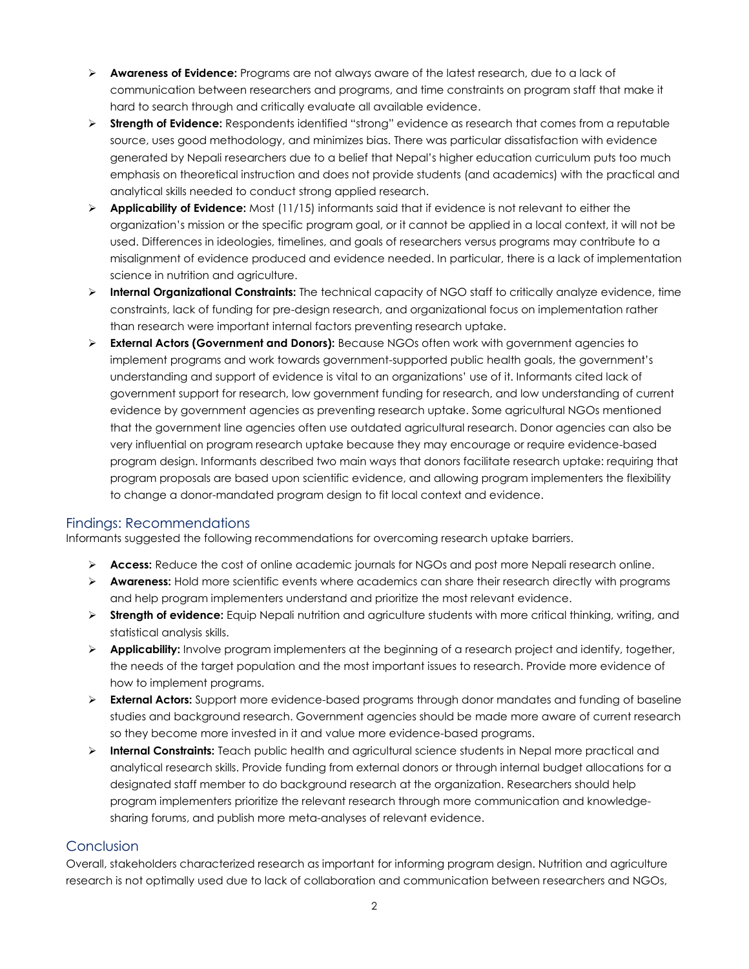- **Awareness of Evidence:** Programs are not always aware of the latest research, due to a lack of communication between researchers and programs, and time constraints on program staff that make it hard to search through and critically evaluate all available evidence.
- **Strength of Evidence:** Respondents identified "strong" evidence as research that comes from a reputable source, uses good methodology, and minimizes bias. There was particular dissatisfaction with evidence generated by Nepali researchers due to a belief that Nepal's higher education curriculum puts too much emphasis on theoretical instruction and does not provide students (and academics) with the practical and analytical skills needed to conduct strong applied research.
- **Applicability of Evidence:** Most (11/15) informants said that if evidence is not relevant to either the organization's mission or the specific program goal, or it cannot be applied in a local context, it will not be used. Differences in ideologies, timelines, and goals of researchers versus programs may contribute to a misalignment of evidence produced and evidence needed. In particular, there is a lack of implementation science in nutrition and agriculture.
- **Internal Organizational Constraints:** The technical capacity of NGO staff to critically analyze evidence, time constraints, lack of funding for pre-design research, and organizational focus on implementation rather than research were important internal factors preventing research uptake.
- **External Actors (Government and Donors):** Because NGOs often work with government agencies to implement programs and work towards government-supported public health goals, the government's understanding and support of evidence is vital to an organizations' use of it. Informants cited lack of government support for research, low government funding for research, and low understanding of current evidence by government agencies as preventing research uptake. Some agricultural NGOs mentioned that the government line agencies often use outdated agricultural research. Donor agencies can also be very influential on program research uptake because they may encourage or require evidence-based program design. Informants described two main ways that donors facilitate research uptake: requiring that program proposals are based upon scientific evidence, and allowing program implementers the flexibility to change a donor-mandated program design to fit local context and evidence.

#### Findings: Recommendations

Informants suggested the following recommendations for overcoming research uptake barriers.

- **Access:** Reduce the cost of online academic journals for NGOs and post more Nepali research online.
- **Awareness:** Hold more scientific events where academics can share their research directly with programs and help program implementers understand and prioritize the most relevant evidence.
- **Strength of evidence:** Equip Nepali nutrition and agriculture students with more critical thinking, writing, and statistical analysis skills.
- **Applicability:** Involve program implementers at the beginning of a research project and identify, together, the needs of the target population and the most important issues to research. Provide more evidence of how to implement programs.
- **External Actors:** Support more evidence-based programs through donor mandates and funding of baseline studies and background research. Government agencies should be made more aware of current research so they become more invested in it and value more evidence-based programs.
- **Internal Constraints:** Teach public health and agricultural science students in Nepal more practical and analytical research skills. Provide funding from external donors or through internal budget allocations for a designated staff member to do background research at the organization. Researchers should help program implementers prioritize the relevant research through more communication and knowledgesharing forums, and publish more meta-analyses of relevant evidence.

#### Conclusion

Overall, stakeholders characterized research as important for informing program design. Nutrition and agriculture research is not optimally used due to lack of collaboration and communication between researchers and NGOs,